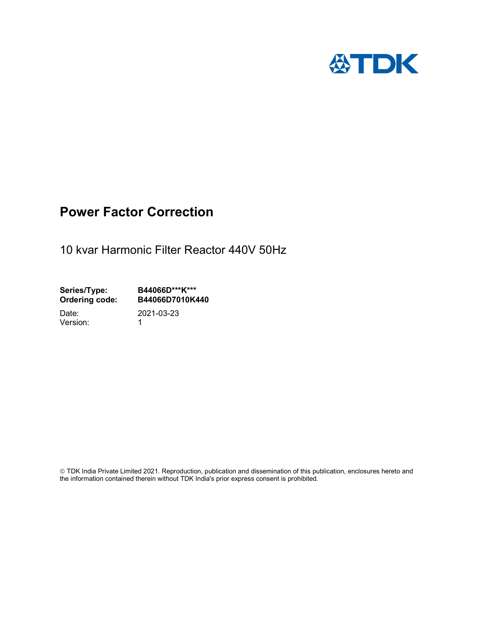

# Power Factor Correction

10 kvar Harmonic Filter Reactor 440V 50Hz

Series/Type: B44066D\*\*\*K\*\*\*<br>Ordering code: B44066D7010K4 B44066D7010K440

Version: 1

Date: 2021-03-23

 TDK India Private Limited 2021. Reproduction, publication and dissemination of this publication, enclosures hereto and the information contained therein without TDK India's prior express consent is prohibited.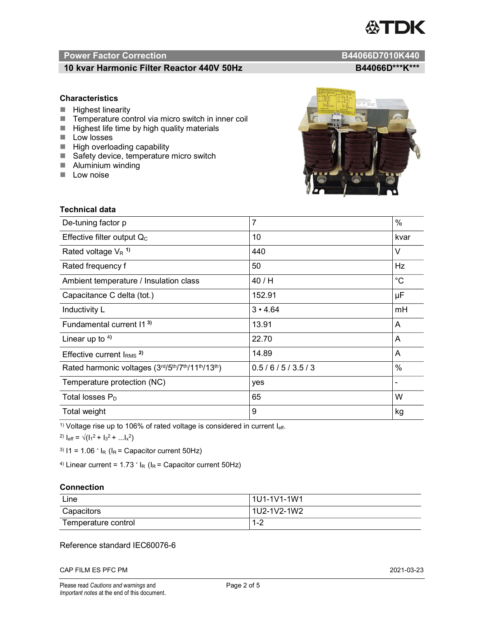# TDK

# Power Factor Correction and Content of Content of Content of Content of Content of Content of Content of Content of Content of Content of Content of Content of Content of Content of Content of Content of Content of Content

# 10 kvar Harmonic Filter Reactor 440V 50Hz<br>B44066D\*\*\*K\*\*\*

## **Characteristics**

- $\blacksquare$  Highest linearity
- Temperature control via micro switch in inner coil
- $\blacksquare$  Highest life time by high quality materials
- **Low losses**
- $\blacksquare$  High overloading capability
- Safety device, temperature micro switch
- **Aluminium winding**
- **Low noise**



| Technical data                                  |                |             |  |
|-------------------------------------------------|----------------|-------------|--|
| De-tuning factor p                              | $\overline{7}$ | $\%$        |  |
| Effective filter output $Q_C$                   | 10             | kvar        |  |
| Rated voltage $V_R$ <sup>1)</sup>               | 440            | V           |  |
| Rated frequency f                               | 50             | Hz          |  |
| Ambient temperature / Insulation class          | 40 / H         | $^{\circ}C$ |  |
| Capacitance C delta (tot.)                      | 152.91         | μF          |  |
| Inductivity L                                   | $3 \cdot 4.64$ | mH          |  |
| Fundamental current 11 <sup>3)</sup>            | 13.91          | A           |  |
| Linear up to $4$ )                              | 22.70          | A           |  |
| Effective current $IRMS$ <sup>2)</sup>          | 14.89          | A           |  |
| Rated harmonic voltages (3rd/5th/7th/11th/13th) | 0.5/6/5/3.5/3  | $\%$        |  |
| Temperature protection (NC)                     | yes            |             |  |
| Total losses $P_D$                              | 65             | W           |  |
| Total weight                                    | 9              | kg          |  |

<sup>1)</sup> Voltage rise up to 106% of rated voltage is considered in current  $I_{\text{eff}}$ .

<sup>2)</sup>  $I_{eff} = \sqrt{(I_1^2 + I_3^2 + ... I_x^2)}$ 

<sup>3)</sup>  $11 = 1.06$   $\cdot$   $I_R$  ( $I_R$  = Capacitor current 50Hz)

<sup>4)</sup> Linear current =  $1.73$   $\cdot$  I<sub>R</sub> (I<sub>R</sub> = Capacitor current 50Hz)

#### **Connection**

| Line                | l 1U1-1V1-1W1       |
|---------------------|---------------------|
| Capacitors          | l 1U2-1V2-1W2       |
| Temperature control | <u> 4 ຕ</u><br>ے- ا |

## Reference standard IEC60076-6

CAP FILM ES PFC PM 2021-03-23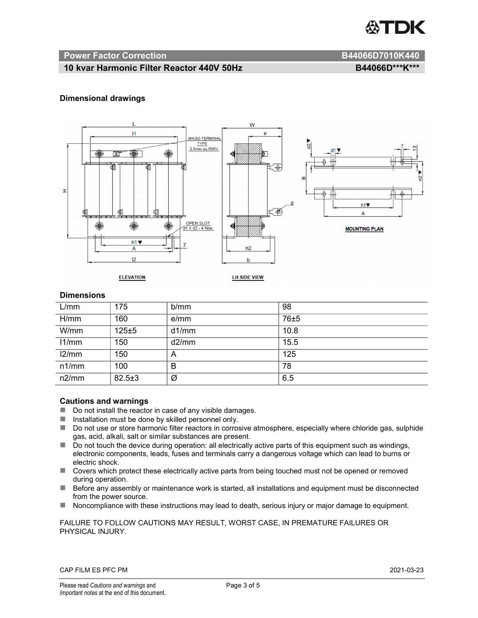

#### Power Factor Correction and B44066D7010K440

#### 10 kvar Harmonic Filter Reactor 440V 50Hz BA4066D\*\*\*K\*\*\*

#### Dimensional drawings



#### **Dimensions**

| L/mm  | 175          | b/mm  | 98   |
|-------|--------------|-------|------|
| H/mm  | 160          | e/mm  | 76±5 |
| W/mm  | 125±5        | d1/mm | 10.8 |
| 11/mm | 150          | d2/mm | 15.5 |
| 12/mm | 150          | A     | 125  |
| n1/mm | 100          | B     | 78   |
| n2/mm | $82.5 \pm 3$ | Ø     | 6.5  |

#### Cautions and warnings

- Do not install the reactor in case of any visible damages.
- $\blacksquare$  Installation must be done by skilled personnel only.
- Do not use or store harmonic filter reactors in corrosive atmosphere, especially where chloride gas, sulphide gas, acid, alkali, salt or similar substances are present.
- $\Box$  Do not touch the device during operation: all electrically active parts of this equipment such as windings, electronic components, leads, fuses and terminals carry a dangerous voltage which can lead to burns or electric shock.
- Covers which protect these electrically active parts from being touched must not be opened or removed during operation.
- Before any assembly or maintenance work is started, all installations and equipment must be disconnected from the power source.
- Noncompliance with these instructions may lead to death, serious injury or major damage to equipment.

#### FAILURE TO FOLLOW CAUTIONS MAY RESULT, WORST CASE, IN PREMATURE FAILURES OR PHYSICAL INJURY.

#### CAP FILM ES PFC PM 2021-03-23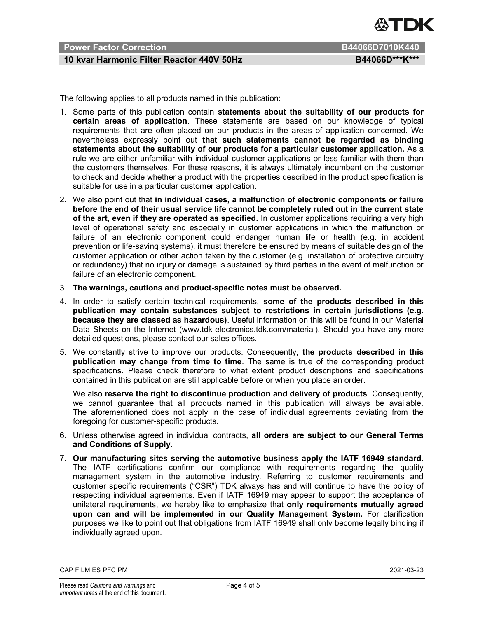

# Power Factor Correction **B44066D7010K440**

# 10 kvar Harmonic Filter Reactor 440V 50Hz BA4066D\*\*\*K\*\*\*

The following applies to all products named in this publication:

- 1. Some parts of this publication contain statements about the suitability of our products for certain areas of application. These statements are based on our knowledge of typical requirements that are often placed on our products in the areas of application concerned. We nevertheless expressly point out that such statements cannot be regarded as binding statements about the suitability of our products for a particular customer application. As a rule we are either unfamiliar with individual customer applications or less familiar with them than the customers themselves. For these reasons, it is always ultimately incumbent on the customer to check and decide whether a product with the properties described in the product specification is suitable for use in a particular customer application.
- 2. We also point out that in individual cases, a malfunction of electronic components or failure before the end of their usual service life cannot be completely ruled out in the current state of the art, even if they are operated as specified. In customer applications requiring a very high level of operational safety and especially in customer applications in which the malfunction or failure of an electronic component could endanger human life or health (e.g. in accident prevention or life-saving systems), it must therefore be ensured by means of suitable design of the customer application or other action taken by the customer (e.g. installation of protective circuitry or redundancy) that no injury or damage is sustained by third parties in the event of malfunction or failure of an electronic component.
- 3. The warnings, cautions and product-specific notes must be observed.
- 4. In order to satisfy certain technical requirements, some of the products described in this publication may contain substances subject to restrictions in certain jurisdictions (e.g. because they are classed as hazardous). Useful information on this will be found in our Material Data Sheets on the Internet (www.tdk-electronics.tdk.com/material). Should you have any more detailed questions, please contact our sales offices.
- 5. We constantly strive to improve our products. Consequently, the products described in this publication may change from time to time. The same is true of the corresponding product specifications. Please check therefore to what extent product descriptions and specifications contained in this publication are still applicable before or when you place an order.

We also reserve the right to discontinue production and delivery of products. Consequently, we cannot guarantee that all products named in this publication will always be available. The aforementioned does not apply in the case of individual agreements deviating from the foregoing for customer-specific products.

- 6. Unless otherwise agreed in individual contracts, all orders are subject to our General Terms and Conditions of Supply.
- 7. Our manufacturing sites serving the automotive business apply the IATF 16949 standard. The IATF certifications confirm our compliance with requirements regarding the quality management system in the automotive industry. Referring to customer requirements and customer specific requirements ("CSR") TDK always has and will continue to have the policy of respecting individual agreements. Even if IATF 16949 may appear to support the acceptance of unilateral requirements, we hereby like to emphasize that only requirements mutually agreed upon can and will be implemented in our Quality Management System. For clarification purposes we like to point out that obligations from IATF 16949 shall only become legally binding if individually agreed upon.